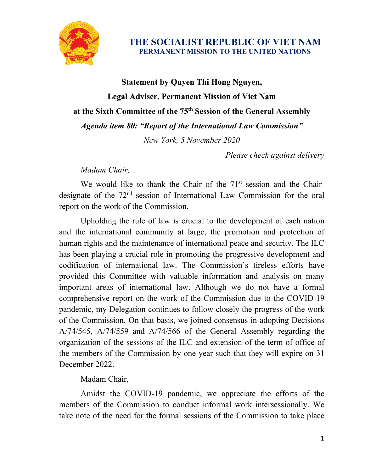

**THE SOCIALIST REPUBLIC OF VIET NAM PERMANENT MISSION TO THE UNITED NATIONS**

## **Statement by Quyen Thi Hong Nguyen, Legal Adviser, Permanent Mission of Viet Nam at the Sixth Committee of the 75th Session of the General Assembly** *Agenda item 80: "Report of the International Law Commission"*

*New York, 5 November 2020*

*Please check against delivery*

*Madam Chair,*

We would like to thank the Chair of the  $71<sup>st</sup>$  session and the Chairdesignate of the 72nd session of International Law Commission for the oral report on the work of the Commission.

Upholding the rule of law is crucial to the development of each nation and the international community at large, the promotion and protection of human rights and the maintenance of international peace and security. The ILC has been playing a crucial role in promoting the progressive development and codification of international law. The Commission's tireless efforts have provided this Committee with valuable information and analysis on many important areas of international law. Although we do not have a formal comprehensive report on the work of the Commission due to the COVID-19 pandemic, my Delegation continues to follow closely the progress of the work of the Commission. On that basis, we joined consensus in adopting Decisions A/74/545, A/74/559 and A/74/566 of the General Assembly regarding the organization of the sessions of the ILC and extension of the term of office of the members of the Commission by one year such that they will expire on 31 December 2022.

Madam Chair,

Amidst the COVID-19 pandemic, we appreciate the efforts of the members of the Commission to conduct informal work intersessionally. We take note of the need for the formal sessions of the Commission to take place